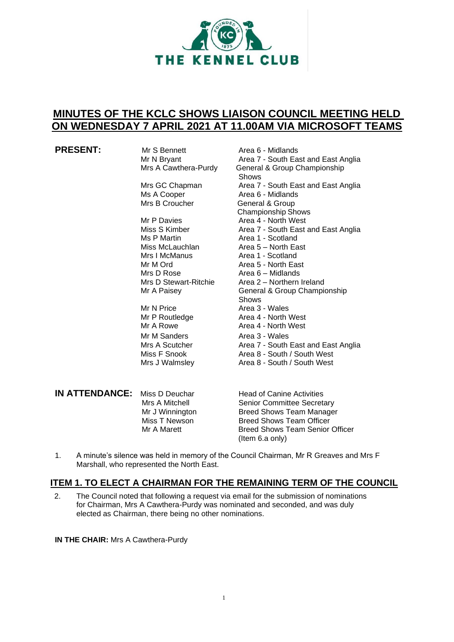

# **MINUTES OF THE KCLC SHOWS LIAISON COUNCIL MEETING HELD ON WEDNESDAY 7 APRIL 2021 AT 11.00AM VIA MICROSOFT TEAMS**

**PRESENT:** Mr S Bennett **Area 6 - Midlands**<br>Mr N Bryant **Area 7 - South Ea** 

Mr P Davies **Area 4 - North West**<br>Miss S Kimber **Area 7 - South East** a Ms P Martin **Area 1 - Scotland**<br>Miss McLauchlan **Area 5 – North Ea** Miss McLauchlan Area 5 – North East<br>Mrs I McManus Area 1 - Scotland Mrs I McManus **Area 1 - Scotland**<br>Mr M Ord **Area 5 - North Ea** Mr M Ord **Area 5 - North East**<br>Mrs D Rose **Area 6 – Midlands** 

Mr N Price Area 3 - Wales Mr M Sanders **Area 3 - Wales** 

Mr N Bryant **Area 7 - South East and East Anglia**<br>Mrs A Cawthera-Purdy General & Group Championship General & Group Championship Shows Mrs GC Chapman Area 7 - South East and East Anglia Ms A Cooper **Area 6 - Midlands**<br>
Mrs B Croucher **Area General & Group** General & Group Championship Shows Miss S Kimber **Area 7 - South East and East Anglia**<br>
Ms P Martin **Area 1 - Scotland** Area  $6$  – Midlands Mrs D Stewart-Ritchie Area 2 – Northern Ireland<br>Mr A Paisey **Champion Communisty** General & Group Champion General & Group Championship Shows Mr P Routledge **Area 4 - North West** Mr A Rowe **Area 4 - North West** Mrs A Scutcher **Area 7 - South East and East Anglia**<br>Miss F Snook **Area 8 - South / South West** Miss F Snook **Area 8 - South / South West**<br>Mrs J Walmsley **Area 8 - South / South West** Area 8 - South / South West

| IN ATTENDANCE: | Miss D Deuchar  |
|----------------|-----------------|
|                | Mrs A Mitchell  |
|                | Mr J Winnington |
|                | Miss T Newson   |
|                | Mr A Marett     |
|                |                 |

**Head of Canine Activities** Senior Committee Secretary Breed Shows Team Manager Breed Shows Team Officer Breed Shows Team Senior Officer (Item 6.a only)

1. A minute's silence was held in memory of the Council Chairman, Mr R Greaves and Mrs F Marshall, who represented the North East.

# **ITEM 1. TO ELECT A CHAIRMAN FOR THE REMAINING TERM OF THE COUNCIL**

2. The Council noted that following a request via email for the submission of nominations for Chairman, Mrs A Cawthera-Purdy was nominated and seconded, and was duly elected as Chairman, there being no other nominations.

**IN THE CHAIR:** Mrs A Cawthera-Purdy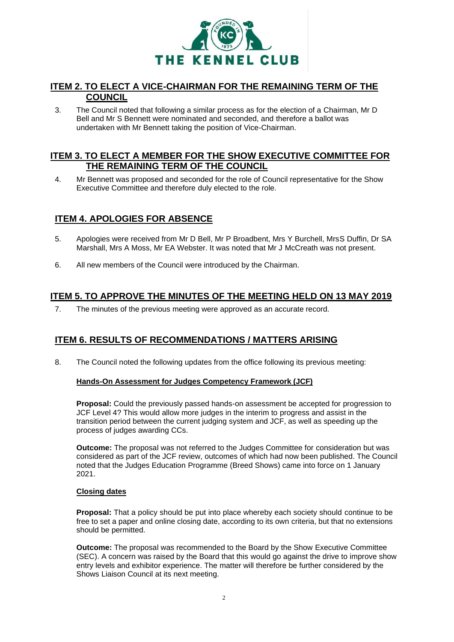

## **ITEM 2. TO ELECT A VICE-CHAIRMAN FOR THE REMAINING TERM OF THE COUNCIL**

3. The Council noted that following a similar process as for the election of a Chairman, Mr D Bell and Mr S Bennett were nominated and seconded, and therefore a ballot was undertaken with Mr Bennett taking the position of Vice-Chairman.

## **ITEM 3. TO ELECT A MEMBER FOR THE SHOW EXECUTIVE COMMITTEE FOR THE REMAINING TERM OF THE COUNCIL**

4. Mr Bennett was proposed and seconded for the role of Council representative for the Show Executive Committee and therefore duly elected to the role.

## **ITEM 4. APOLOGIES FOR ABSENCE**

- 5. Apologies were received from Mr D Bell, Mr P Broadbent, Mrs Y Burchell, MrsS Duffin, Dr SA Marshall, Mrs A Moss, Mr EA Webster. It was noted that Mr J McCreath was not present.
- 6. All new members of the Council were introduced by the Chairman.

## **ITEM 5. TO APPROVE THE MINUTES OF THE MEETING HELD ON 13 MAY 2019**

7. The minutes of the previous meeting were approved as an accurate record.

## **ITEM 6. RESULTS OF RECOMMENDATIONS / MATTERS ARISING**

8. The Council noted the following updates from the office following its previous meeting:

## **Hands-On Assessment for Judges Competency Framework (JCF)**

**Proposal:** Could the previously passed hands-on assessment be accepted for progression to JCF Level 4? This would allow more judges in the interim to progress and assist in the transition period between the current judging system and JCF, as well as speeding up the process of judges awarding CCs.

**Outcome:** The proposal was not referred to the Judges Committee for consideration but was considered as part of the JCF review, outcomes of which had now been published. The Council noted that the Judges Education Programme (Breed Shows) came into force on 1 January 2021.

## **Closing dates**

**Proposal:** That a policy should be put into place whereby each society should continue to be free to set a paper and online closing date, according to its own criteria, but that no extensions should be permitted.

**Outcome:** The proposal was recommended to the Board by the Show Executive Committee (SEC). A concern was raised by the Board that this would go against the drive to improve show entry levels and exhibitor experience. The matter will therefore be further considered by the Shows Liaison Council at its next meeting.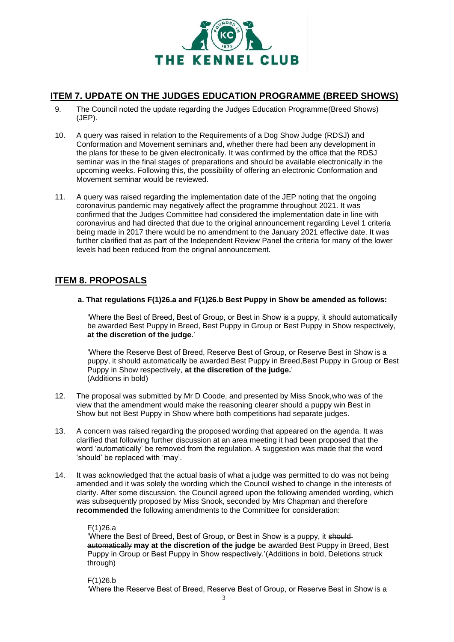

## **ITEM 7. UPDATE ON THE JUDGES EDUCATION PROGRAMME (BREED SHOWS)**

- 9. The Council noted the update regarding the Judges Education Programme(Breed Shows) (JEP).
- 10. A query was raised in relation to the Requirements of a Dog Show Judge (RDSJ) and Conformation and Movement seminars and, whether there had been any development in the plans for these to be given electronically. It was confirmed by the office that the RDSJ seminar was in the final stages of preparations and should be available electronically in the upcoming weeks. Following this, the possibility of offering an electronic Conformation and Movement seminar would be reviewed.
- 11. A query was raised regarding the implementation date of the JEP noting that the ongoing coronavirus pandemic may negatively affect the programme throughout 2021. It was confirmed that the Judges Committee had considered the implementation date in line with coronavirus and had directed that due to the original announcement regarding Level 1 criteria being made in 2017 there would be no amendment to the January 2021 effective date. It was further clarified that as part of the Independent Review Panel the criteria for many of the lower levels had been reduced from the original announcement.

## **ITEM 8. PROPOSALS**

**a. That regulations F(1)26.a and F(1)26.b Best Puppy in Show be amended as follows:**

'Where the Best of Breed, Best of Group, or Best in Show is a puppy, it should automatically be awarded Best Puppy in Breed, Best Puppy in Group or Best Puppy in Show respectively, **at the discretion of the judge.**'

'Where the Reserve Best of Breed, Reserve Best of Group, or Reserve Best in Show is a puppy, it should automatically be awarded Best Puppy in Breed,Best Puppy in Group or Best Puppy in Show respectively, **at the discretion of the judge.**' (Additions in bold)

- 12. The proposal was submitted by Mr D Coode, and presented by Miss Snook,who was of the view that the amendment would make the reasoning clearer should a puppy win Best in Show but not Best Puppy in Show where both competitions had separate judges.
- 13. A concern was raised regarding the proposed wording that appeared on the agenda. It was clarified that following further discussion at an area meeting it had been proposed that the word 'automatically' be removed from the regulation. A suggestion was made that the word 'should' be replaced with 'may'.
- 14. It was acknowledged that the actual basis of what a judge was permitted to do was not being amended and it was solely the wording which the Council wished to change in the interests of clarity. After some discussion, the Council agreed upon the following amended wording, which was subsequently proposed by Miss Snook, seconded by Mrs Chapman and therefore **recommended** the following amendments to the Committee for consideration:

#### F(1)26.a

'Where the Best of Breed, Best of Group, or Best in Show is a puppy, it shouldautomatically **may at the discretion of the judge** be awarded Best Puppy in Breed, Best Puppy in Group or Best Puppy in Show respectively.'(Additions in bold, Deletions struck through)

F(1)26.b

'Where the Reserve Best of Breed, Reserve Best of Group, or Reserve Best in Show is a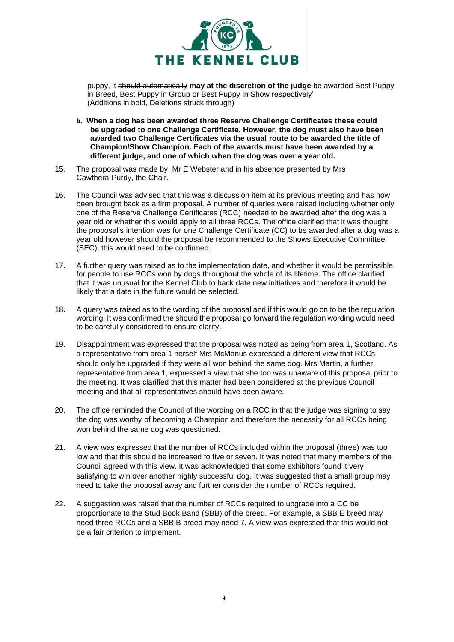

puppy, it should automatically **may at the discretion of the judge** be awarded Best Puppy in Breed, Best Puppy in Group or Best Puppy in Show respectively' (Additions in bold, Deletions struck through)

- **b. When a dog has been awarded three Reserve Challenge Certificates these could be upgraded to one Challenge Certificate. However, the dog must also have been awarded two Challenge Certificates via the usual route to be awarded the title of Champion/Show Champion. Each of the awards must have been awarded by a different judge, and one of which when the dog was over a year old.**
- 15. The proposal was made by, Mr E Webster and in his absence presented by Mrs Cawthera-Purdy, the Chair.
- 16. The Council was advised that this was a discussion item at its previous meeting and has now been brought back as a firm proposal. A number of queries were raised including whether only one of the Reserve Challenge Certificates (RCC) needed to be awarded after the dog was a year old or whether this would apply to all three RCCs. The office clarified that it was thought the proposal's intention was for one Challenge Certificate (CC) to be awarded after a dog was a year old however should the proposal be recommended to the Shows Executive Committee (SEC), this would need to be confirmed.
- 17. A further query was raised as to the implementation date, and whether it would be permissible for people to use RCCs won by dogs throughout the whole of its lifetime. The office clarified that it was unusual for the Kennel Club to back date new initiatives and therefore it would be likely that a date in the future would be selected.
- 18. A query was raised as to the wording of the proposal and if this would go on to be the regulation wording. It was confirmed the should the proposal go forward the regulation wording would need to be carefully considered to ensure clarity.
- 19. Disappointment was expressed that the proposal was noted as being from area 1, Scotland. As a representative from area 1 herself Mrs McManus expressed a different view that RCCs should only be upgraded if they were all won behind the same dog. Mrs Martin, a further representative from area 1, expressed a view that she too was unaware of this proposal prior to the meeting. It was clarified that this matter had been considered at the previous Council meeting and that all representatives should have been aware.
- 20. The office reminded the Council of the wording on a RCC in that the judge was signing to say the dog was worthy of becoming a Champion and therefore the necessity for all RCCs being won behind the same dog was questioned.
- 21. A view was expressed that the number of RCCs included within the proposal (three) was too low and that this should be increased to five or seven. It was noted that many members of the Council agreed with this view. It was acknowledged that some exhibitors found it very satisfying to win over another highly successful dog. It was suggested that a small group may need to take the proposal away and further consider the number of RCCs required.
- 22. A suggestion was raised that the number of RCCs required to upgrade into a CC be proportionate to the Stud Book Band (SBB) of the breed. For example, a SBB E breed may need three RCCs and a SBB B breed may need 7. A view was expressed that this would not be a fair criterion to implement.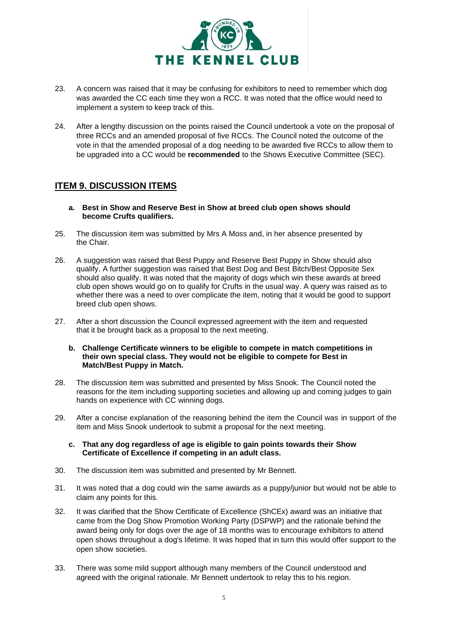

- 23. A concern was raised that it may be confusing for exhibitors to need to remember which dog was awarded the CC each time they won a RCC. It was noted that the office would need to implement a system to keep track of this.
- 24. After a lengthy discussion on the points raised the Council undertook a vote on the proposal of three RCCs and an amended proposal of five RCCs. The Council noted the outcome of the vote in that the amended proposal of a dog needing to be awarded five RCCs to allow them to be upgraded into a CC would be **recommended** to the Shows Executive Committee (SEC).

## **ITEM 9. DISCUSSION ITEMS**

- **a. Best in Show and Reserve Best in Show at breed club open shows should become Crufts qualifiers.**
- 25. The discussion item was submitted by Mrs A Moss and, in her absence presented by the Chair.
- 26. A suggestion was raised that Best Puppy and Reserve Best Puppy in Show should also qualify. A further suggestion was raised that Best Dog and Best Bitch/Best Opposite Sex should also qualify. It was noted that the majority of dogs which win these awards at breed club open shows would go on to qualify for Crufts in the usual way. A query was raised as to whether there was a need to over complicate the item, noting that it would be good to support breed club open shows.
- 27. After a short discussion the Council expressed agreement with the item and requested that it be brought back as a proposal to the next meeting.
	- **b. Challenge Certificate winners to be eligible to compete in match competitions in their own special class. They would not be eligible to compete for Best in Match/Best Puppy in Match.**
- 28. The discussion item was submitted and presented by Miss Snook. The Council noted the reasons for the item including supporting societies and allowing up and coming judges to gain hands on experience with CC winning dogs.
- 29. After a concise explanation of the reasoning behind the item the Council was in support of the item and Miss Snook undertook to submit a proposal for the next meeting.

#### **c. That any dog regardless of age is eligible to gain points towards their Show Certificate of Excellence if competing in an adult class.**

- 30. The discussion item was submitted and presented by Mr Bennett.
- 31. It was noted that a dog could win the same awards as a puppy/junior but would not be able to claim any points for this.
- 32. It was clarified that the Show Certificate of Excellence (ShCEx) award was an initiative that came from the Dog Show Promotion Working Party (DSPWP) and the rationale behind the award being only for dogs over the age of 18 months was to encourage exhibitors to attend open shows throughout a dog's lifetime. It was hoped that in turn this would offer support to the open show societies.
- 33. There was some mild support although many members of the Council understood and agreed with the original rationale. Mr Bennett undertook to relay this to his region.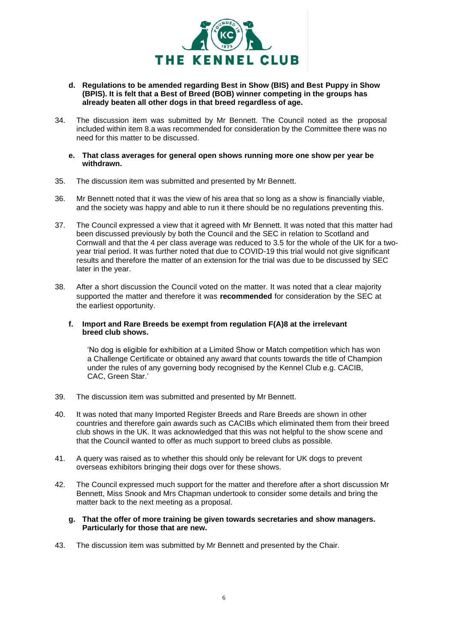

- **d. Regulations to be amended regarding Best in Show (BIS) and Best Puppy in Show (BPIS). It is felt that a Best of Breed (BOB) winner competing in the groups has already beaten all other dogs in that breed regardless of age.**
- 34. The discussion item was submitted by Mr Bennett. The Council noted as the proposal included within item 8.a was recommended for consideration by the Committee there was no need for this matter to be discussed.
	- **e. That class averages for general open shows running more one show per year be withdrawn.**
- 35. The discussion item was submitted and presented by Mr Bennett.
- 36. Mr Bennett noted that it was the view of his area that so long as a show is financially viable, and the society was happy and able to run it there should be no regulations preventing this.
- 37. The Council expressed a view that it agreed with Mr Bennett. It was noted that this matter had been discussed previously by both the Council and the SEC in relation to Scotland and Cornwall and that the 4 per class average was reduced to 3.5 for the whole of the UK for a twoyear trial period. It was further noted that due to COVID-19 this trial would not give significant results and therefore the matter of an extension for the trial was due to be discussed by SEC later in the year.
- 38. After a short discussion the Council voted on the matter. It was noted that a clear majority supported the matter and therefore it was **recommended** for consideration by the SEC at the earliest opportunity.

#### **f. Import and Rare Breeds be exempt from regulation F(A)8 at the irrelevant breed club shows.**

'No dog is eligible for exhibition at a Limited Show or Match competition which has won a Challenge Certificate or obtained any award that counts towards the title of Champion under the rules of any governing body recognised by the Kennel Club e.g. CACIB, CAC, Green Star.'

- 39. The discussion item was submitted and presented by Mr Bennett.
- 40. It was noted that many Imported Register Breeds and Rare Breeds are shown in other countries and therefore gain awards such as CACIBs which eliminated them from their breed club shows in the UK. It was acknowledged that this was not helpful to the show scene and that the Council wanted to offer as much support to breed clubs as possible.
- 41. A query was raised as to whether this should only be relevant for UK dogs to prevent overseas exhibitors bringing their dogs over for these shows.
- 42. The Council expressed much support for the matter and therefore after a short discussion Mr Bennett, Miss Snook and Mrs Chapman undertook to consider some details and bring the matter back to the next meeting as a proposal.

#### **g. That the offer of more training be given towards secretaries and show managers. Particularly for those that are new.**

43. The discussion item was submitted by Mr Bennett and presented by the Chair.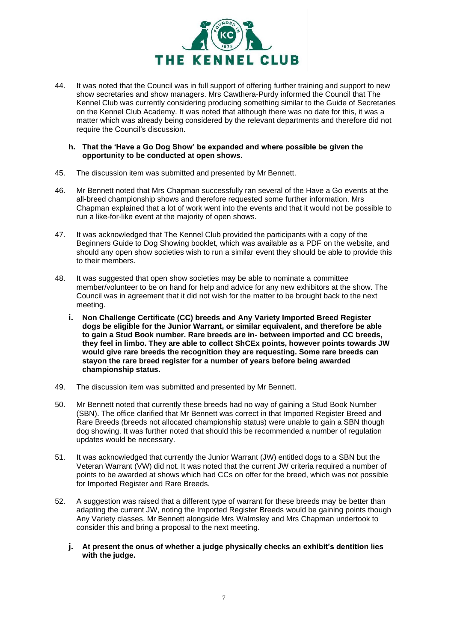

44. It was noted that the Council was in full support of offering further training and support to new show secretaries and show managers. Mrs Cawthera-Purdy informed the Council that The Kennel Club was currently considering producing something similar to the Guide of Secretaries on the Kennel Club Academy. It was noted that although there was no date for this, it was a matter which was already being considered by the relevant departments and therefore did not require the Council's discussion.

#### **h. That the 'Have a Go Dog Show' be expanded and where possible be given the opportunity to be conducted at open shows.**

- 45. The discussion item was submitted and presented by Mr Bennett.
- 46. Mr Bennett noted that Mrs Chapman successfully ran several of the Have a Go events at the all-breed championship shows and therefore requested some further information. Mrs Chapman explained that a lot of work went into the events and that it would not be possible to run a like-for-like event at the majority of open shows.
- 47. It was acknowledged that The Kennel Club provided the participants with a copy of the Beginners Guide to Dog Showing booklet, which was available as a PDF on the website, and should any open show societies wish to run a similar event they should be able to provide this to their members.
- 48. It was suggested that open show societies may be able to nominate a committee member/volunteer to be on hand for help and advice for any new exhibitors at the show. The Council was in agreement that it did not wish for the matter to be brought back to the next meeting.
	- **i. Non Challenge Certificate (CC) breeds and Any Variety Imported Breed Register dogs be eligible for the Junior Warrant, or similar equivalent, and therefore be able to gain a Stud Book number. Rare breeds are in- between imported and CC breeds, they feel in limbo. They are able to collect ShCEx points, however points towards JW would give rare breeds the recognition they are requesting. Some rare breeds can stayon the rare breed register for a number of years before being awarded championship status.**
- 49. The discussion item was submitted and presented by Mr Bennett.
- 50. Mr Bennett noted that currently these breeds had no way of gaining a Stud Book Number (SBN). The office clarified that Mr Bennett was correct in that Imported Register Breed and Rare Breeds (breeds not allocated championship status) were unable to gain a SBN though dog showing. It was further noted that should this be recommended a number of regulation updates would be necessary.
- 51. It was acknowledged that currently the Junior Warrant (JW) entitled dogs to a SBN but the Veteran Warrant (VW) did not. It was noted that the current JW criteria required a number of points to be awarded at shows which had CCs on offer for the breed, which was not possible for Imported Register and Rare Breeds.
- 52. A suggestion was raised that a different type of warrant for these breeds may be better than adapting the current JW, noting the Imported Register Breeds would be gaining points though Any Variety classes. Mr Bennett alongside Mrs Walmsley and Mrs Chapman undertook to consider this and bring a proposal to the next meeting.
	- **j. At present the onus of whether a judge physically checks an exhibit's dentition lies with the judge.**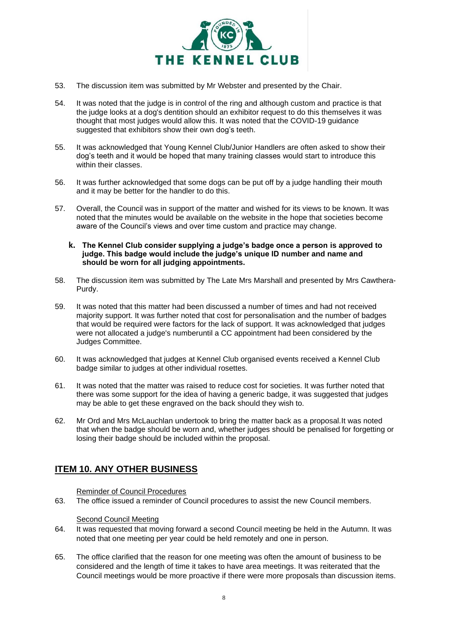

- 53. The discussion item was submitted by Mr Webster and presented by the Chair.
- 54. It was noted that the judge is in control of the ring and although custom and practice is that the judge looks at a dog's dentition should an exhibitor request to do this themselves it was thought that most judges would allow this. It was noted that the COVID-19 guidance suggested that exhibitors show their own dog's teeth.
- 55. It was acknowledged that Young Kennel Club/Junior Handlers are often asked to show their dog's teeth and it would be hoped that many training classes would start to introduce this within their classes.
- 56. It was further acknowledged that some dogs can be put off by a judge handling their mouth and it may be better for the handler to do this.
- 57. Overall, the Council was in support of the matter and wished for its views to be known. It was noted that the minutes would be available on the website in the hope that societies become aware of the Council's views and over time custom and practice may change.
	- **k. The Kennel Club consider supplying a judge's badge once a person is approved to judge. This badge would include the judge's unique ID number and name and should be worn for all judging appointments.**
- 58. The discussion item was submitted by The Late Mrs Marshall and presented by Mrs Cawthera-Purdy.
- 59. It was noted that this matter had been discussed a number of times and had not received majority support. It was further noted that cost for personalisation and the number of badges that would be required were factors for the lack of support. It was acknowledged that judges were not allocated a judge's numberuntil a CC appointment had been considered by the Judges Committee.
- 60. It was acknowledged that judges at Kennel Club organised events received a Kennel Club badge similar to judges at other individual rosettes.
- 61. It was noted that the matter was raised to reduce cost for societies. It was further noted that there was some support for the idea of having a generic badge, it was suggested that judges may be able to get these engraved on the back should they wish to.
- 62. Mr Ord and Mrs McLauchlan undertook to bring the matter back as a proposal.It was noted that when the badge should be worn and, whether judges should be penalised for forgetting or losing their badge should be included within the proposal.

## **ITEM 10. ANY OTHER BUSINESS**

Reminder of Council Procedures

63. The office issued a reminder of Council procedures to assist the new Council members.

## Second Council Meeting

- 64. It was requested that moving forward a second Council meeting be held in the Autumn. It was noted that one meeting per year could be held remotely and one in person.
- 65. The office clarified that the reason for one meeting was often the amount of business to be considered and the length of time it takes to have area meetings. It was reiterated that the Council meetings would be more proactive if there were more proposals than discussion items.